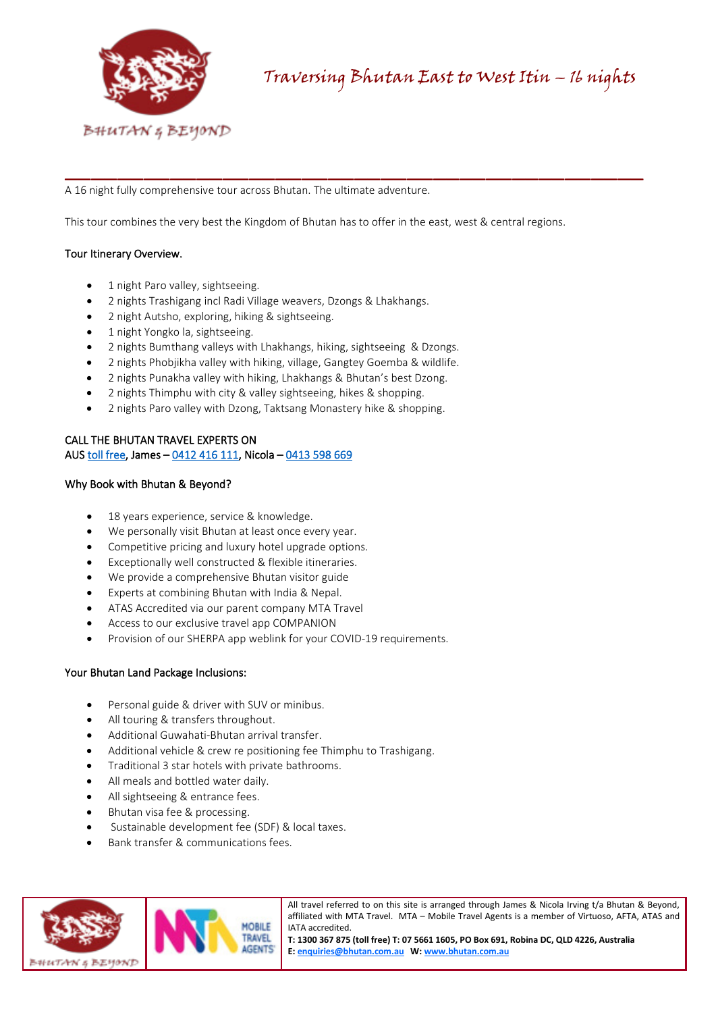

A 16 night fully comprehensive tour across Bhutan. The ultimate adventure.

This tour combines the very best the Kingdom of Bhutan has to offer in the east, west & central regions.

\_\_\_\_\_\_\_\_\_\_\_\_\_\_\_\_\_\_\_\_\_\_\_\_\_\_\_\_\_\_\_\_\_\_\_\_\_\_\_\_\_\_\_\_

# Tour Itinerary Overview.

- 1 night Paro valley, sightseeing.
- 2 nights Trashigang incl Radi Village weavers, Dzongs & Lhakhangs.
- 2 night Autsho, exploring, hiking & sightseeing.
- 1 night Yongko la, sightseeing.
- 2 nights Bumthang valleys with Lhakhangs, hiking, sightseeing & Dzongs.
- 2 nights Phobjikha valley with hiking, village, Gangtey Goemba & wildlife.
- 2 nights Punakha valley with hiking, Lhakhangs & Bhutan's best Dzong.
- 2 nights Thimphu with city & valley sightseeing, hikes & shopping.
- 2 nights Paro valley with Dzong, Taktsang Monastery hike & shopping.

# CALL THE BHUTAN TRAVEL EXPERTS ON

AUS [toll free,](tel:1300%20367%20875) James – [0412 416 111,](tel:0412%20416%20111) Nicola [– 0413 598 669](tel:0413%20598%20669)

# Why Book with Bhutan & Beyond?

- 18 years experience, service & knowledge.
- We personally visit Bhutan at least once every year.
- Competitive pricing and luxury hotel upgrade options.
- Exceptionally well constructed & flexible itineraries.
- We provide a comprehensive Bhutan visitor guide
- Experts at combining Bhutan with India & Nepal.
- ATAS Accredited via our parent company MTA Travel
- Access to our exclusive travel app COMPANION
- Provision of our SHERPA app weblink for your COVID-19 requirements.

## Your Bhutan Land Package Inclusions:

- Personal guide & driver with SUV or minibus.
- All touring & transfers throughout.
- Additional Guwahati-Bhutan arrival transfer.
- Additional vehicle & crew re positioning fee Thimphu to Trashigang.
- Traditional 3 star hotels with private bathrooms.
- All meals and bottled water daily.
- All sightseeing & entrance fees.
- Bhutan visa fee & processing.
- Sustainable development fee (SDF) & local taxes.
- Bank transfer & communications fees.



All travel referred to on this site is arranged through James & Nicola Irving t/a Bhutan & Beyond, affiliated with MTA Travel. MTA – Mobile Travel Agents is a member of Virtuoso, AFTA, ATAS and IATA accredited.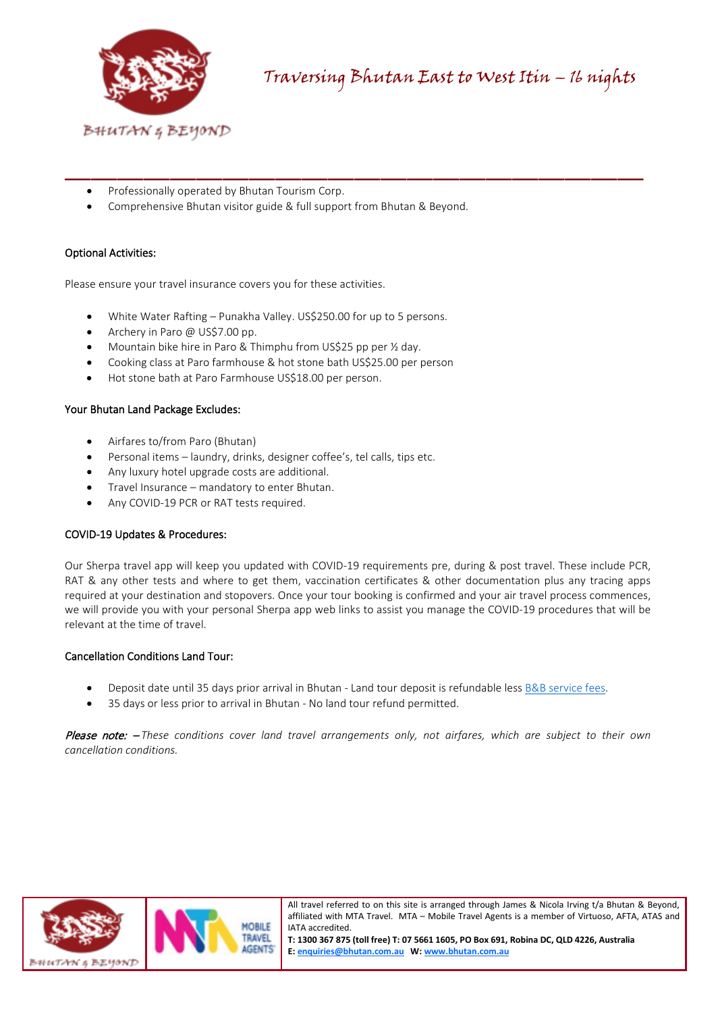

- Professionally operated by Bhutan Tourism Corp.
- Comprehensive Bhutan visitor guide & full support from Bhutan & Beyond.

\_\_\_\_\_\_\_\_\_\_\_\_\_\_\_\_\_\_\_\_\_\_\_\_\_\_\_\_\_\_\_\_\_\_\_\_\_\_\_\_\_\_\_\_

# Optional Activities:

Please ensure your travel insurance covers you for these activities.

- White Water Rafting Punakha Valley. US\$250.00 for up to 5 persons.
- Archery in Paro @ US\$7.00 pp.
- Mountain bike hire in Paro & Thimphu from US\$25 pp per ½ day.
- Cooking class at Paro farmhouse & hot stone bath US\$25.00 per person
- Hot stone bath at Paro Farmhouse US\$18.00 per person.

# Your Bhutan Land Package Excludes:

- Airfares to/from Paro (Bhutan)
- Personal items laundry, drinks, designer coffee's, tel calls, tips etc.
- Any luxury hotel upgrade costs are additional.
- Travel Insurance mandatory to enter Bhutan.
- Any COVID-19 PCR or RAT tests required.

## COVID-19 Updates & Procedures:

Our Sherpa travel app will keep you updated with COVID-19 requirements pre, during & post travel. These include PCR, RAT & any other tests and where to get them, vaccination certificates & other documentation plus any tracing apps required at your destination and stopovers. Once your tour booking is confirmed and your air travel process commences, we will provide you with your personal Sherpa app web links to assist you manage the COVID-19 procedures that will be relevant at the time of travel.

# Cancellation Conditions Land Tour:

- Deposit date until 35 days prior arrival in Bhutan Land tour deposit is refundable less [B&B service fees.](https://bhutan.com.au/booking-terms-conditions/)
- 35 days or less prior to arrival in Bhutan No land tour refund permitted.

Please note: – *These conditions cover land travel arrangements only, not airfares, which are subject to their own cancellation conditions.*



All travel referred to on this site is arranged through James & Nicola Irving t/a Bhutan & Beyond, affiliated with MTA Travel. MTA – Mobile Travel Agents is a member of Virtuoso, AFTA, ATAS and IATA accredited.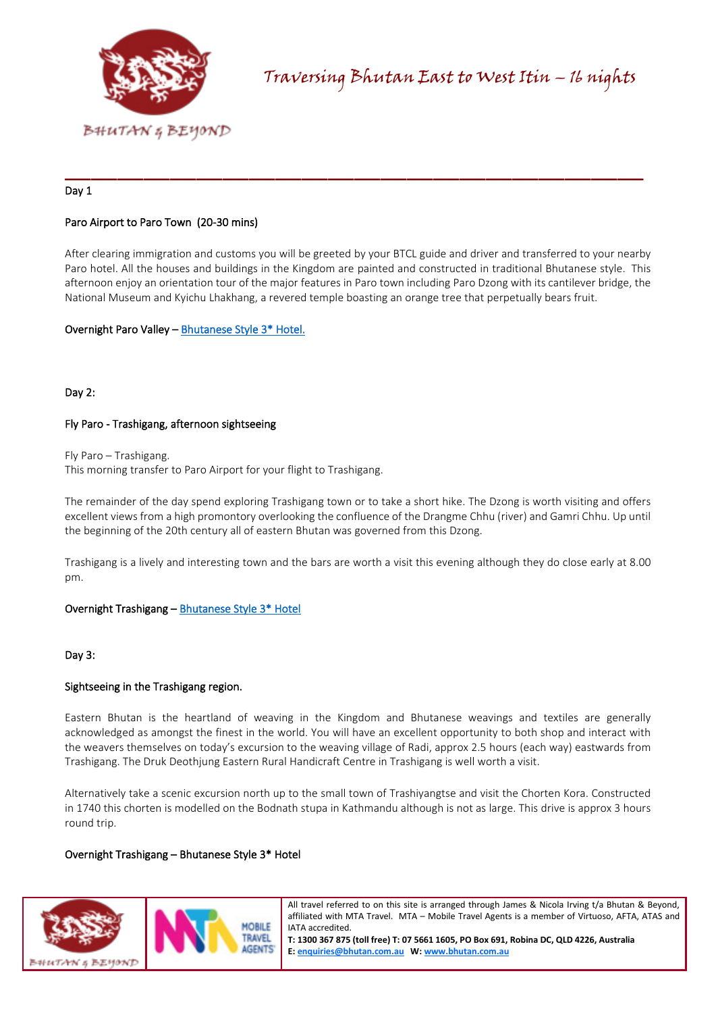

# Day 1

# Paro Airport to Paro Town (20-30 mins)

After clearing immigration and customs you will be greeted by your BTCL guide and driver and transferred to your nearby Paro hotel. All the houses and buildings in the Kingdom are painted and constructed in traditional Bhutanese style. This afternoon enjoy an orientation tour of the major features in Paro town including Paro Dzong with its cantilever bridge, the National Museum and Kyichu Lhakhang, a revered temple boasting an orange tree that perpetually bears fruit.

\_\_\_\_\_\_\_\_\_\_\_\_\_\_\_\_\_\_\_\_\_\_\_\_\_\_\_\_\_\_\_\_\_\_\_\_\_\_\_\_\_\_\_\_

# Overnight Paro Valley [– Bhutanese Style 3\\* Hotel.](https://bhutan.com.au/paro-valley-hotels/)

# Day 2:

# Fly Paro - Trashigang, afternoon sightseeing

Fly Paro – Trashigang.

This morning transfer to Paro Airport for your flight to Trashigang.

The remainder of the day spend exploring Trashigang town or to take a short hike. The Dzong is worth visiting and offers excellent views from a high promontory overlooking the confluence of the Drangme Chhu (river) and Gamri Chhu. Up until the beginning of the 20th century all of eastern Bhutan was governed from this Dzong.

Trashigang is a lively and interesting town and the bars are worth a visit this evening although they do close early at 8.00 pm.

# Overnight Trashigang [– Bhutanese Style 3\\* Hotel](https://bhutan.com.au/trashigang-hotel/)

Day 3:

# Sightseeing in the Trashigang region.

Eastern Bhutan is the heartland of weaving in the Kingdom and Bhutanese weavings and textiles are generally acknowledged as amongst the finest in the world. You will have an excellent opportunity to both shop and interact with the weavers themselves on today's excursion to the weaving village of Radi, approx 2.5 hours (each way) eastwards from Trashigang. The Druk Deothjung Eastern Rural Handicraft Centre in Trashigang is well worth a visit.

Alternatively take a scenic excursion north up to the small town of Trashiyangtse and visit the Chorten Kora. Constructed in 1740 this chorten is modelled on the Bodnath stupa in Kathmandu although is not as large. This drive is approx 3 hours round trip.

## Overnight Trashigang – Bhutanese Style 3\* Hotel



All travel referred to on this site is arranged through James & Nicola Irving t/a Bhutan & Beyond, affiliated with MTA Travel. MTA – Mobile Travel Agents is a member of Virtuoso, AFTA, ATAS and IATA accredited.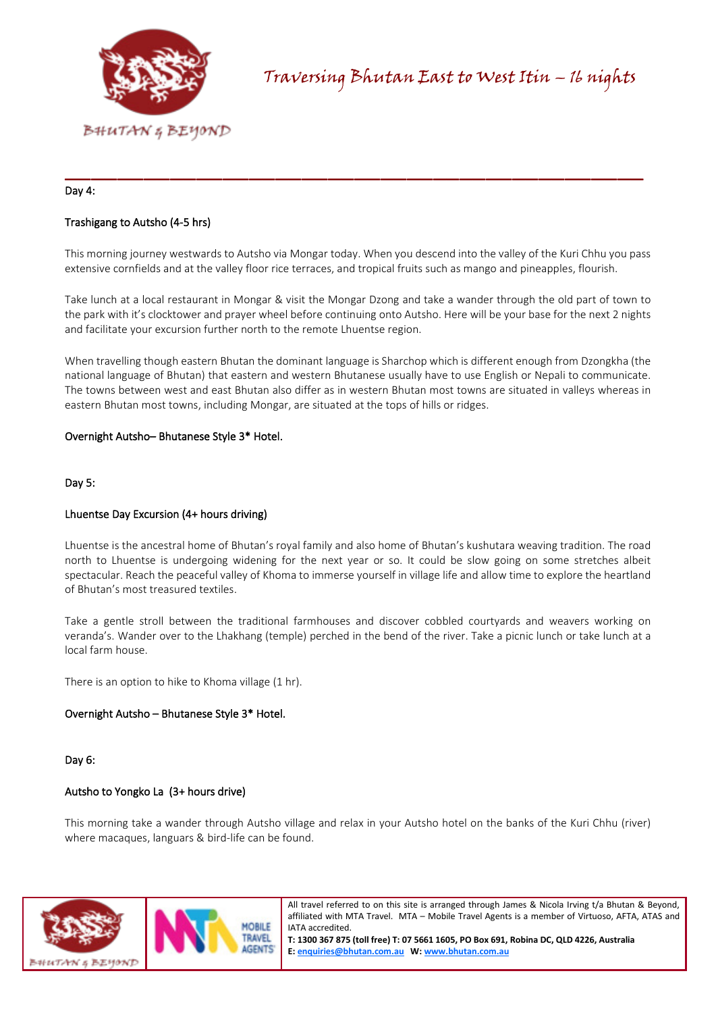

## Day 4:

# Trashigang to Autsho (4-5 hrs)

This morning journey westwards to Autsho via Mongar today. When you descend into the valley of the Kuri Chhu you pass extensive cornfields and at the valley floor rice terraces, and tropical fruits such as mango and pineapples, flourish.

\_\_\_\_\_\_\_\_\_\_\_\_\_\_\_\_\_\_\_\_\_\_\_\_\_\_\_\_\_\_\_\_\_\_\_\_\_\_\_\_\_\_\_\_

Take lunch at a local restaurant in Mongar & visit the Mongar Dzong and take a wander through the old part of town to the park with it's clocktower and prayer wheel before continuing onto Autsho. Here will be your base for the next 2 nights and facilitate your excursion further north to the remote Lhuentse region.

When travelling though eastern Bhutan the dominant language is Sharchop which is different enough from Dzongkha (the national language of Bhutan) that eastern and western Bhutanese usually have to use English or Nepali to communicate. The towns between west and east Bhutan also differ as in western Bhutan most towns are situated in valleys whereas in eastern Bhutan most towns, including Mongar, are situated at the tops of hills or ridges.

## Overnight Autsho– Bhutanese Style 3\* Hotel.

Day 5:

## Lhuentse Day Excursion (4+ hours driving)

Lhuentse is the ancestral home of Bhutan's royal family and also home of Bhutan's kushutara weaving tradition. The road north to Lhuentse is undergoing widening for the next year or so. It could be slow going on some stretches albeit spectacular. Reach the peaceful valley of Khoma to immerse yourself in village life and allow time to explore the heartland of Bhutan's most treasured textiles.

Take a gentle stroll between the traditional farmhouses and discover cobbled courtyards and weavers working on veranda's. Wander over to the Lhakhang (temple) perched in the bend of the river. Take a picnic lunch or take lunch at a local farm house.

There is an option to hike to Khoma village (1 hr).

## Overnight Autsho – Bhutanese Style 3\* Hotel.

Day 6:

#### Autsho to Yongko La (3+ hours drive)

This morning take a wander through Autsho village and relax in your Autsho hotel on the banks of the Kuri Chhu (river) where macaques, languars & bird-life can be found.



All travel referred to on this site is arranged through James & Nicola Irving t/a Bhutan & Beyond, affiliated with MTA Travel. MTA – Mobile Travel Agents is a member of Virtuoso, AFTA, ATAS and IATA accredited.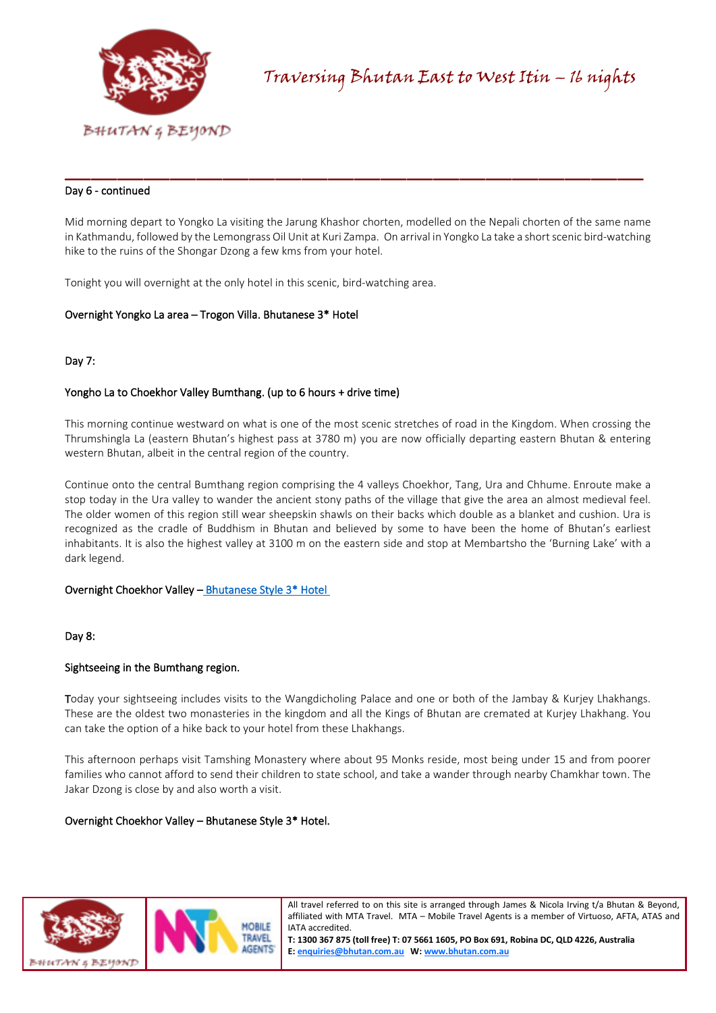

# Day 6 - continued

Mid morning depart to Yongko La visiting the Jarung Khashor chorten, modelled on the Nepali chorten of the same name in Kathmandu, followed by the Lemongrass Oil Unit at Kuri Zampa. On arrival in Yongko La take a short scenic bird-watching hike to the ruins of the Shongar Dzong a few kms from your hotel.

\_\_\_\_\_\_\_\_\_\_\_\_\_\_\_\_\_\_\_\_\_\_\_\_\_\_\_\_\_\_\_\_\_\_\_\_\_\_\_\_\_\_\_\_

Tonight you will overnight at the only hotel in this scenic, bird-watching area.

## Overnight Yongko La area – Trogon Villa. Bhutanese 3\* Hotel

# Day 7:

# Yongho La to Choekhor Valley Bumthang. (up to 6 hours + drive time)

This morning continue westward on what is one of the most scenic stretches of road in the Kingdom. When crossing the Thrumshingla La (eastern Bhutan's highest pass at 3780 m) you are now officially departing eastern Bhutan & entering western Bhutan, albeit in the central region of the country.

Continue onto the central Bumthang region comprising the 4 valleys Choekhor, Tang, Ura and Chhume. Enroute make a stop today in the Ura valley to wander the ancient stony paths of the village that give the area an almost medieval feel. The older women of this region still wear sheepskin shawls on their backs which double as a blanket and cushion. Ura is recognized as the cradle of Buddhism in Bhutan and believed by some to have been the home of Bhutan's earliest inhabitants. It is also the highest valley at 3100 m on the eastern side and stop at Membartsho the 'Burning Lake' with a dark legend.

## Overnight Choekhor Valley [– Bhutanese Style 3\\* Hotel](https://bhutan.com.au/choekhor-valley-hotels/)

## Day 8:

## Sightseeing in the Bumthang region.

Today your sightseeing includes visits to the Wangdicholing Palace and one or both of the Jambay & Kurjey Lhakhangs. These are the oldest two monasteries in the kingdom and all the Kings of Bhutan are cremated at Kurjey Lhakhang. You can take the option of a hike back to your hotel from these Lhakhangs.

This afternoon perhaps visit Tamshing Monastery where about 95 Monks reside, most being under 15 and from poorer families who cannot afford to send their children to state school, and take a wander through nearby Chamkhar town. The Jakar Dzong is close by and also worth a visit.

## Overnight Choekhor Valley – Bhutanese Style 3\* Hotel.



All travel referred to on this site is arranged through James & Nicola Irving t/a Bhutan & Beyond, affiliated with MTA Travel. MTA – Mobile Travel Agents is a member of Virtuoso, AFTA, ATAS and IATA accredited.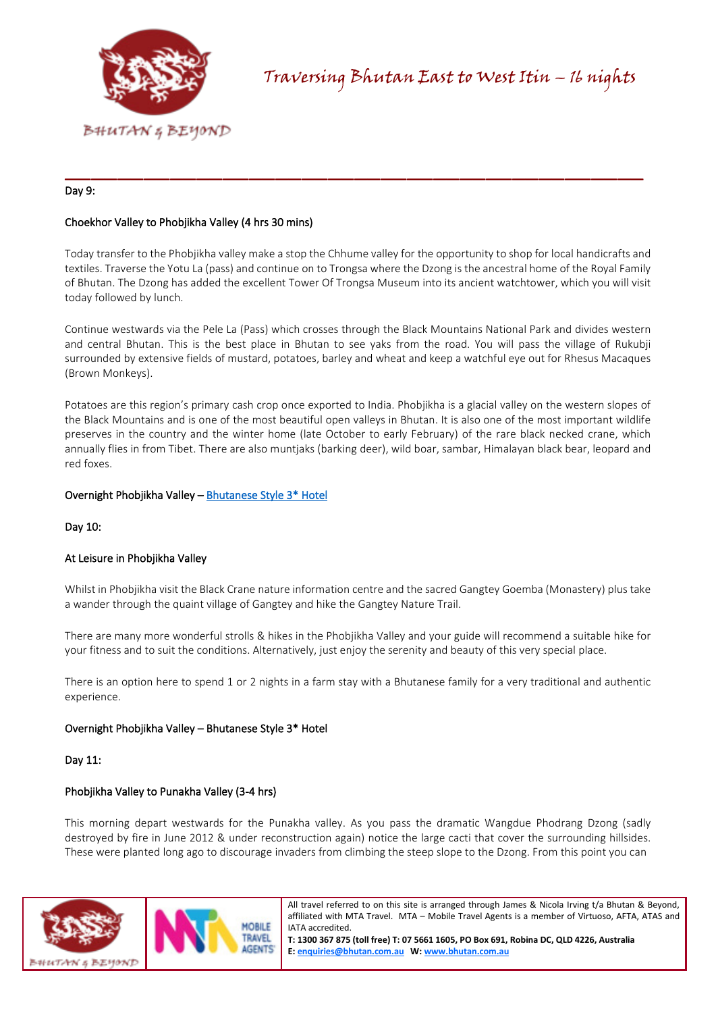

# Day 9:

# Choekhor Valley to Phobjikha Valley (4 hrs 30 mins)

Today transfer to the Phobjikha valley make a stop the Chhume valley for the opportunity to shop for local handicrafts and textiles. Traverse the Yotu La (pass) and continue on to Trongsa where the Dzong is the ancestral home of the Royal Family of Bhutan. The Dzong has added the excellent Tower Of Trongsa Museum into its ancient watchtower, which you will visit today followed by lunch.

\_\_\_\_\_\_\_\_\_\_\_\_\_\_\_\_\_\_\_\_\_\_\_\_\_\_\_\_\_\_\_\_\_\_\_\_\_\_\_\_\_\_\_\_

Continue westwards via the Pele La (Pass) which crosses through the Black Mountains National Park and divides western and central Bhutan. This is the best place in Bhutan to see yaks from the road. You will pass the village of Rukubji surrounded by extensive fields of mustard, potatoes, barley and wheat and keep a watchful eye out for Rhesus Macaques (Brown Monkeys).

Potatoes are this region's primary cash crop once exported to India. Phobjikha is a glacial valley on the western slopes of the Black Mountains and is one of the most beautiful open valleys in Bhutan. It is also one of the most important wildlife preserves in the country and the winter home (late October to early February) of the rare black necked crane, which annually flies in from Tibet. There are also muntjaks (barking deer), wild boar, sambar, Himalayan black bear, leopard and red foxes.

## Overnight Phobjikha Valley [– Bhutanese Style 3\\* Hotel](https://bhutan.com.au/phobjikha-valley-hotels/)

Day 10:

## At Leisure in Phobjikha Valley

Whilst in Phobjikha visit the Black Crane nature information centre and the sacred Gangtey Goemba (Monastery) plus take a wander through the quaint village of Gangtey and hike the Gangtey Nature Trail.

There are many more wonderful strolls & hikes in the Phobjikha Valley and your guide will recommend a suitable hike for your fitness and to suit the conditions. Alternatively, just enjoy the serenity and beauty of this very special place.

There is an option here to spend 1 or 2 nights in a farm stay with a Bhutanese family for a very traditional and authentic experience.

## Overnight Phobjikha Valley – Bhutanese Style 3\* Hotel

## Day 11:

## Phobjikha Valley to Punakha Valley (3-4 hrs)

This morning depart westwards for the Punakha valley. As you pass the dramatic Wangdue Phodrang Dzong (sadly destroyed by fire in June 2012 & under reconstruction again) notice the large cacti that cover the surrounding hillsides. These were planted long ago to discourage invaders from climbing the steep slope to the Dzong. From this point you can



All travel referred to on this site is arranged through James & Nicola Irving t/a Bhutan & Beyond, affiliated with MTA Travel. MTA – Mobile Travel Agents is a member of Virtuoso, AFTA, ATAS and IATA accredited.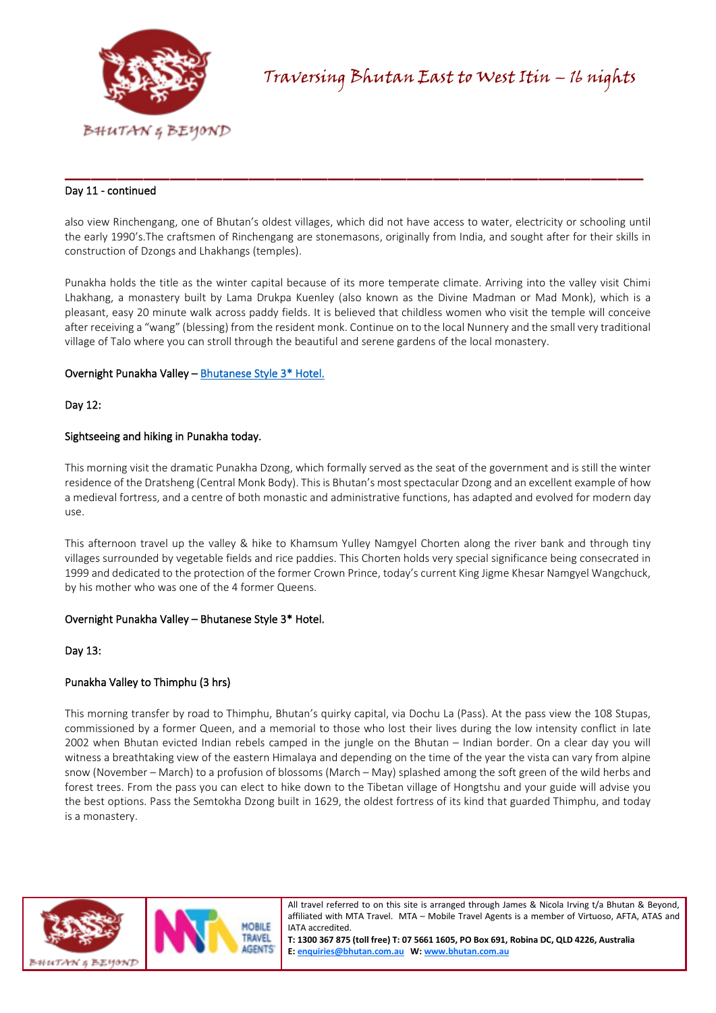

# Day 11 - continued

also view Rinchengang, one of Bhutan's oldest villages, which did not have access to water, electricity or schooling until the early 1990's.The craftsmen of Rinchengang are stonemasons, originally from India, and sought after for their skills in construction of Dzongs and Lhakhangs (temples).

\_\_\_\_\_\_\_\_\_\_\_\_\_\_\_\_\_\_\_\_\_\_\_\_\_\_\_\_\_\_\_\_\_\_\_\_\_\_\_\_\_\_\_\_

Punakha holds the title as the winter capital because of its more temperate climate. Arriving into the valley visit Chimi Lhakhang, a monastery built by Lama Drukpa Kuenley (also known as the Divine Madman or Mad Monk), which is a pleasant, easy 20 minute walk across paddy fields. It is believed that childless women who visit the temple will conceive after receiving a "wang" (blessing) from the resident monk. Continue on to the local Nunnery and the small very traditional village of Talo where you can stroll through the beautiful and serene gardens of the local monastery.

## Overnight Punakha Valley [– Bhutanese Style 3\\* Hotel.](https://bhutan.com.au/punakha-valley-hotel/)

## Day 12:

## Sightseeing and hiking in Punakha today.

This morning visit the dramatic Punakha Dzong, which formally served as the seat of the government and is still the winter residence of the Dratsheng (Central Monk Body). This is Bhutan's most spectacular Dzong and an excellent example of how a medieval fortress, and a centre of both monastic and administrative functions, has adapted and evolved for modern day use.

This afternoon travel up the valley & hike to Khamsum Yulley Namgyel Chorten along the river bank and through tiny villages surrounded by vegetable fields and rice paddies. This Chorten holds very special significance being consecrated in 1999 and dedicated to the protection of the former Crown Prince, today's current King Jigme Khesar Namgyel Wangchuck, by his mother who was one of the 4 former Queens.

## Overnight Punakha Valley – Bhutanese Style 3\* Hotel.

#### Day 13:

## Punakha Valley to Thimphu (3 hrs)

This morning transfer by road to Thimphu, Bhutan's quirky capital, via Dochu La (Pass). At the pass view the 108 Stupas, commissioned by a former Queen, and a memorial to those who lost their lives during the low intensity conflict in late 2002 when Bhutan evicted Indian rebels camped in the jungle on the Bhutan – Indian border. On a clear day you will witness a breathtaking view of the eastern Himalaya and depending on the time of the year the vista can vary from alpine snow (November – March) to a profusion of blossoms (March – May) splashed among the soft green of the wild herbs and forest trees. From the pass you can elect to hike down to the Tibetan village of Hongtshu and your guide will advise you the best options. Pass the Semtokha Dzong built in 1629, the oldest fortress of its kind that guarded Thimphu, and today is a monastery.



All travel referred to on this site is arranged through James & Nicola Irving t/a Bhutan & Beyond, affiliated with MTA Travel. MTA – Mobile Travel Agents is a member of Virtuoso, AFTA, ATAS and IATA accredited.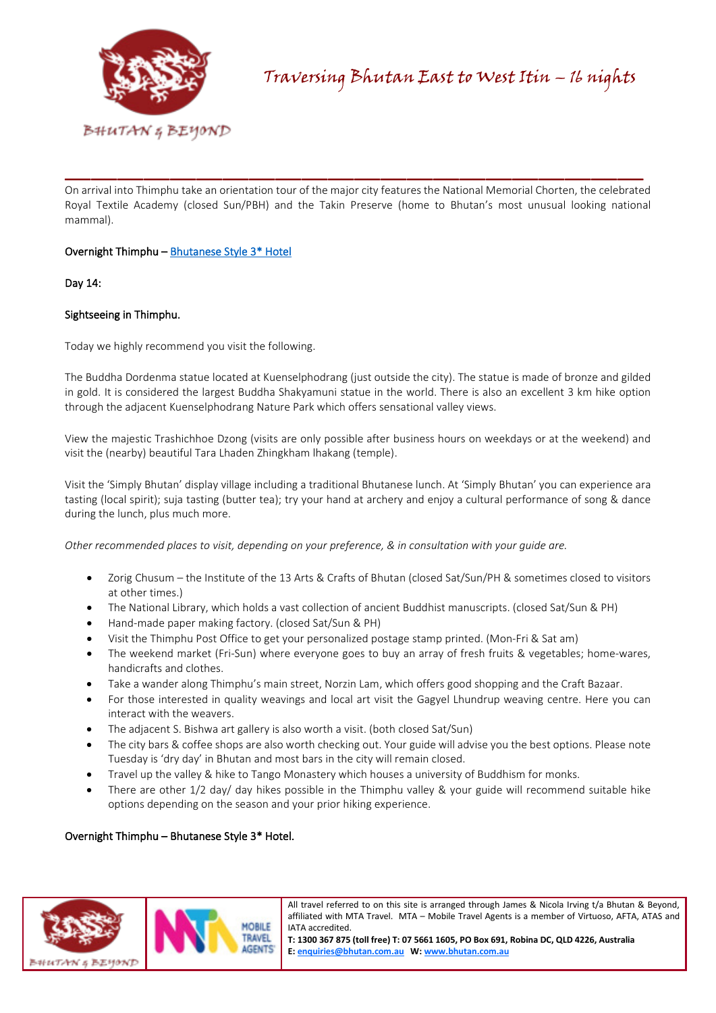

On arrival into Thimphu take an orientation tour of the major city features the National Memorial Chorten, the celebrated Royal Textile Academy (closed Sun/PBH) and the Takin Preserve (home to Bhutan's most unusual looking national mammal).

\_\_\_\_\_\_\_\_\_\_\_\_\_\_\_\_\_\_\_\_\_\_\_\_\_\_\_\_\_\_\_\_\_\_\_\_\_\_\_\_\_\_\_\_

# Overnight Thimphu [– Bhutanese Style 3\\* Hotel](https://bhutan.com.au/thimphu-hotels/)

# Day 14:

# Sightseeing in Thimphu.

Today we highly recommend you visit the following.

The Buddha Dordenma statue located at Kuenselphodrang (just outside the city). The statue is made of bronze and gilded in gold. It is considered the largest Buddha Shakyamuni statue in the world. There is also an excellent 3 km hike option through the adjacent Kuenselphodrang Nature Park which offers sensational valley views.

View the majestic Trashichhoe Dzong (visits are only possible after business hours on weekdays or at the weekend) and visit the (nearby) beautiful Tara Lhaden Zhingkham lhakang (temple).

Visit the 'Simply Bhutan' display village including a traditional Bhutanese lunch. At 'Simply Bhutan' you can experience ara tasting (local spirit); suja tasting (butter tea); try your hand at archery and enjoy a cultural performance of song & dance during the lunch, plus much more.

*Other recommended places to visit, depending on your preference, & in consultation with your guide are.*

- Zorig Chusum the Institute of the 13 Arts & Crafts of Bhutan (closed Sat/Sun/PH & sometimes closed to visitors at other times.)
- The National Library, which holds a vast collection of ancient Buddhist manuscripts. (closed Sat/Sun & PH)
- Hand-made paper making factory. (closed Sat/Sun & PH)
- Visit the Thimphu Post Office to get your personalized postage stamp printed. (Mon-Fri & Sat am)
- The weekend market (Fri-Sun) where everyone goes to buy an array of fresh fruits & vegetables; home-wares, handicrafts and clothes.
- Take a wander along Thimphu's main street, Norzin Lam, which offers good shopping and the Craft Bazaar.
- For those interested in quality weavings and local art visit the Gagyel Lhundrup weaving centre. Here you can interact with the weavers.
- The adjacent S. Bishwa art gallery is also worth a visit. (both closed Sat/Sun)
- The city bars & coffee shops are also worth checking out. Your guide will advise you the best options. Please note Tuesday is 'dry day' in Bhutan and most bars in the city will remain closed.
- Travel up the valley & hike to Tango Monastery which houses a university of Buddhism for monks.
- There are other 1/2 day/ day hikes possible in the Thimphu valley & your guide will recommend suitable hike options depending on the season and your prior hiking experience.

# Overnight Thimphu – Bhutanese Style 3\* Hotel.



All travel referred to on this site is arranged through James & Nicola Irving t/a Bhutan & Beyond, affiliated with MTA Travel. MTA – Mobile Travel Agents is a member of Virtuoso, AFTA, ATAS and IATA accredited.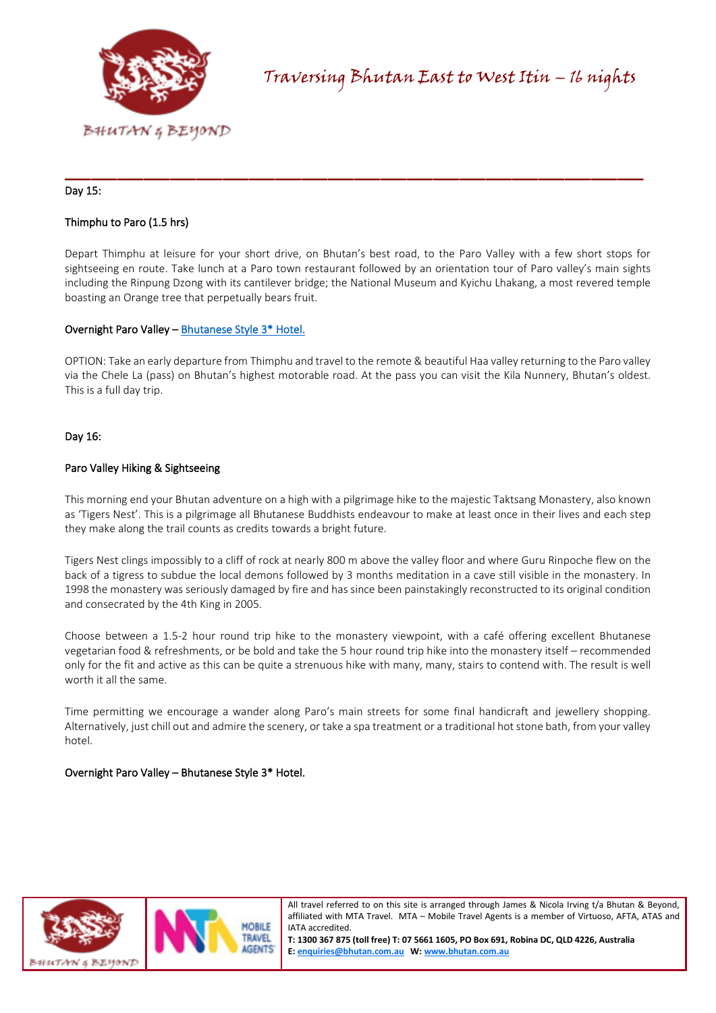

# Day 15:

## Thimphu to Paro (1.5 hrs)

Depart Thimphu at leisure for your short drive, on Bhutan's best road, to the Paro Valley with a few short stops for sightseeing en route. Take lunch at a Paro town restaurant followed by an orientation tour of Paro valley's main sights including the Rinpung Dzong with its cantilever bridge; the National Museum and Kyichu Lhakang, a most revered temple boasting an Orange tree that perpetually bears fruit.

\_\_\_\_\_\_\_\_\_\_\_\_\_\_\_\_\_\_\_\_\_\_\_\_\_\_\_\_\_\_\_\_\_\_\_\_\_\_\_\_\_\_\_\_

# Overnight Paro Valley [– Bhutanese Style 3\\* Hotel.](https://bhutan.com.au/paro-valley-hotels/)

OPTION: Take an early departure from Thimphu and travel to the remote & beautiful Haa valley returning to the Paro valley via the Chele La (pass) on Bhutan's highest motorable road. At the pass you can visit the Kila Nunnery, Bhutan's oldest. This is a full day trip.

# Day 16:

## Paro Valley Hiking & Sightseeing

This morning end your Bhutan adventure on a high with a pilgrimage hike to the majestic Taktsang Monastery, also known as 'Tigers Nest'. This is a pilgrimage all Bhutanese Buddhists endeavour to make at least once in their lives and each step they make along the trail counts as credits towards a bright future.

Tigers Nest clings impossibly to a cliff of rock at nearly 800 m above the valley floor and where Guru Rinpoche flew on the back of a tigress to subdue the local demons followed by 3 months meditation in a cave still visible in the monastery. In 1998 the monastery was seriously damaged by fire and has since been painstakingly reconstructed to its original condition and consecrated by the 4th King in 2005.

Choose between a 1.5-2 hour round trip hike to the monastery viewpoint, with a café offering excellent Bhutanese vegetarian food & refreshments, or be bold and take the 5 hour round trip hike into the monastery itself – recommended only for the fit and active as this can be quite a strenuous hike with many, many, stairs to contend with. The result is well worth it all the same.

Time permitting we encourage a wander along Paro's main streets for some final handicraft and jewellery shopping. Alternatively, just chill out and admire the scenery, or take a spa treatment or a traditional hot stone bath, from your valley hotel.

## Overnight Paro Valley – Bhutanese Style 3\* Hotel.



All travel referred to on this site is arranged through James & Nicola Irving t/a Bhutan & Beyond, affiliated with MTA Travel. MTA – Mobile Travel Agents is a member of Virtuoso, AFTA, ATAS and IATA accredited.